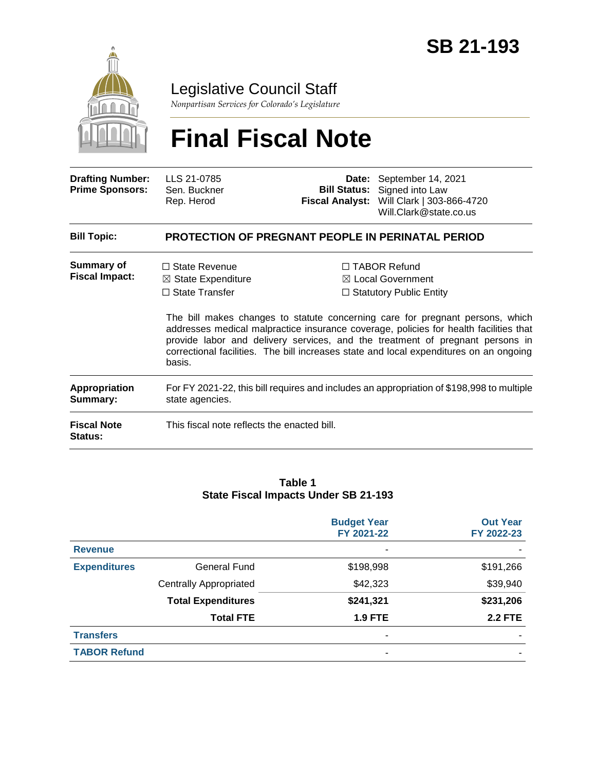

### Legislative Council Staff

*Nonpartisan Services for Colorado's Legislature*

# **Final Fiscal Note**

| <b>Drafting Number:</b><br><b>Prime Sponsors:</b> | LLS 21-0785<br>Sen. Buckner<br>Rep. Herod                                                                    |  | <b>Date:</b> September 14, 2021<br><b>Bill Status:</b> Signed into Law<br>Fiscal Analyst: Will Clark   303-866-4720<br>Will.Clark@state.co.us                                                                                                                                                                                                                                                                                              |  |  |  |
|---------------------------------------------------|--------------------------------------------------------------------------------------------------------------|--|--------------------------------------------------------------------------------------------------------------------------------------------------------------------------------------------------------------------------------------------------------------------------------------------------------------------------------------------------------------------------------------------------------------------------------------------|--|--|--|
| <b>Bill Topic:</b>                                | <b>PROTECTION OF PREGNANT PEOPLE IN PERINATAL PERIOD</b>                                                     |  |                                                                                                                                                                                                                                                                                                                                                                                                                                            |  |  |  |
| <b>Summary of</b><br><b>Fiscal Impact:</b>        | $\Box$ State Revenue<br>$\boxtimes$ State Expenditure<br>$\Box$ State Transfer<br>basis.                     |  | $\Box$ TABOR Refund<br>$\boxtimes$ Local Government<br>$\Box$ Statutory Public Entity<br>The bill makes changes to statute concerning care for pregnant persons, which<br>addresses medical malpractice insurance coverage, policies for health facilities that<br>provide labor and delivery services, and the treatment of pregnant persons in<br>correctional facilities. The bill increases state and local expenditures on an ongoing |  |  |  |
| <b>Appropriation</b><br>Summary:                  | For FY 2021-22, this bill requires and includes an appropriation of \$198,998 to multiple<br>state agencies. |  |                                                                                                                                                                                                                                                                                                                                                                                                                                            |  |  |  |
| <b>Fiscal Note</b><br><b>Status:</b>              | This fiscal note reflects the enacted bill.                                                                  |  |                                                                                                                                                                                                                                                                                                                                                                                                                                            |  |  |  |

#### **Table 1 State Fiscal Impacts Under SB 21-193**

|                     |                               | <b>Budget Year</b><br>FY 2021-22 | <b>Out Year</b><br>FY 2022-23 |
|---------------------|-------------------------------|----------------------------------|-------------------------------|
| <b>Revenue</b>      |                               |                                  |                               |
| <b>Expenditures</b> | <b>General Fund</b>           | \$198,998                        | \$191,266                     |
|                     | <b>Centrally Appropriated</b> | \$42,323                         | \$39,940                      |
|                     | <b>Total Expenditures</b>     | \$241,321                        | \$231,206                     |
|                     | <b>Total FTE</b>              | <b>1.9 FTE</b>                   | <b>2.2 FTE</b>                |
| <b>Transfers</b>    |                               |                                  |                               |
| <b>TABOR Refund</b> |                               |                                  |                               |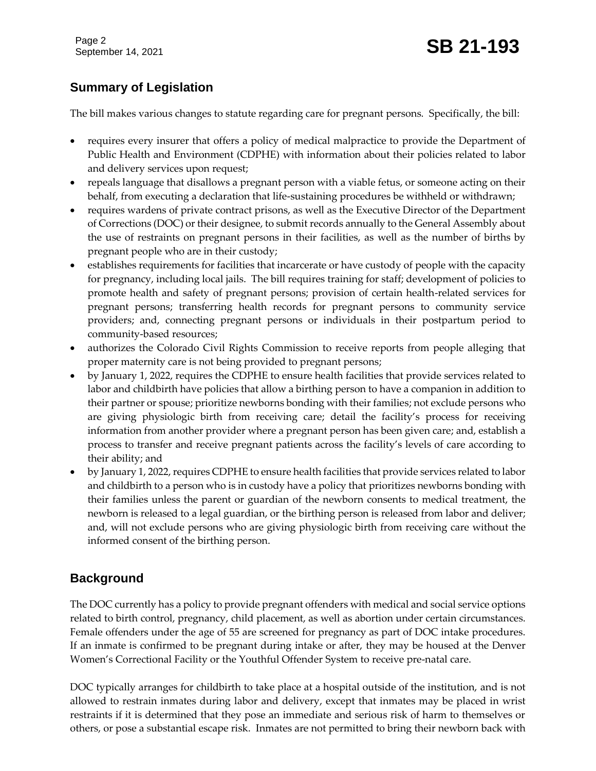Page 2

## Page 2<br>September 14, 2021 **SB 21-193**

#### **Summary of Legislation**

The bill makes various changes to statute regarding care for pregnant persons. Specifically, the bill:

- requires every insurer that offers a policy of medical malpractice to provide the Department of Public Health and Environment (CDPHE) with information about their policies related to labor and delivery services upon request;
- repeals language that disallows a pregnant person with a viable fetus, or someone acting on their behalf, from executing a declaration that life-sustaining procedures be withheld or withdrawn;
- requires wardens of private contract prisons, as well as the Executive Director of the Department of Corrections (DOC) or their designee, to submit records annually to the General Assembly about the use of restraints on pregnant persons in their facilities, as well as the number of births by pregnant people who are in their custody;
- establishes requirements for facilities that incarcerate or have custody of people with the capacity for pregnancy, including local jails. The bill requires training for staff; development of policies to promote health and safety of pregnant persons; provision of certain health-related services for pregnant persons; transferring health records for pregnant persons to community service providers; and, connecting pregnant persons or individuals in their postpartum period to community-based resources;
- authorizes the Colorado Civil Rights Commission to receive reports from people alleging that proper maternity care is not being provided to pregnant persons;
- by January 1, 2022, requires the CDPHE to ensure health facilities that provide services related to labor and childbirth have policies that allow a birthing person to have a companion in addition to their partner or spouse; prioritize newborns bonding with their families; not exclude persons who are giving physiologic birth from receiving care; detail the facility's process for receiving information from another provider where a pregnant person has been given care; and, establish a process to transfer and receive pregnant patients across the facility's levels of care according to their ability; and
- by January 1, 2022, requires CDPHE to ensure health facilities that provide services related to labor and childbirth to a person who is in custody have a policy that prioritizes newborns bonding with their families unless the parent or guardian of the newborn consents to medical treatment, the newborn is released to a legal guardian, or the birthing person is released from labor and deliver; and, will not exclude persons who are giving physiologic birth from receiving care without the informed consent of the birthing person.

#### **Background**

The DOC currently has a policy to provide pregnant offenders with medical and social service options related to birth control, pregnancy, child placement, as well as abortion under certain circumstances. Female offenders under the age of 55 are screened for pregnancy as part of DOC intake procedures. If an inmate is confirmed to be pregnant during intake or after, they may be housed at the Denver Women's Correctional Facility or the Youthful Offender System to receive pre-natal care.

DOC typically arranges for childbirth to take place at a hospital outside of the institution, and is not allowed to restrain inmates during labor and delivery, except that inmates may be placed in wrist restraints if it is determined that they pose an immediate and serious risk of harm to themselves or others, or pose a substantial escape risk. Inmates are not permitted to bring their newborn back with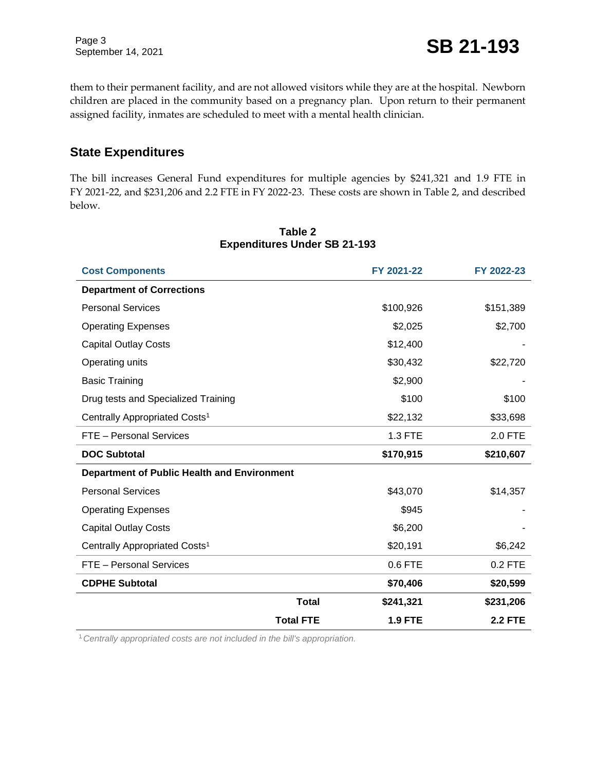them to their permanent facility, and are not allowed visitors while they are at the hospital. Newborn children are placed in the community based on a pregnancy plan. Upon return to their permanent assigned facility, inmates are scheduled to meet with a mental health clinician.

#### **State Expenditures**

The bill increases General Fund expenditures for multiple agencies by \$241,321 and 1.9 FTE in FY 2021-22, and \$231,206 and 2.2 FTE in FY 2022-23. These costs are shown in Table 2, and described below.

| <b>Cost Components</b>                             |                  | FY 2021-22     | FY 2022-23     |
|----------------------------------------------------|------------------|----------------|----------------|
| <b>Department of Corrections</b>                   |                  |                |                |
| <b>Personal Services</b>                           |                  | \$100,926      | \$151,389      |
| <b>Operating Expenses</b>                          |                  | \$2,025        | \$2,700        |
| <b>Capital Outlay Costs</b>                        |                  | \$12,400       |                |
| Operating units                                    |                  | \$30,432       | \$22,720       |
| <b>Basic Training</b>                              |                  | \$2,900        |                |
| Drug tests and Specialized Training                |                  | \$100          | \$100          |
| Centrally Appropriated Costs <sup>1</sup>          |                  | \$22,132       | \$33,698       |
| FTE - Personal Services                            |                  | 1.3 FTE        | 2.0 FTE        |
| <b>DOC Subtotal</b>                                |                  | \$170,915      | \$210,607      |
| <b>Department of Public Health and Environment</b> |                  |                |                |
| <b>Personal Services</b>                           |                  | \$43,070       | \$14,357       |
| <b>Operating Expenses</b>                          |                  | \$945          |                |
| <b>Capital Outlay Costs</b>                        |                  | \$6,200        |                |
| Centrally Appropriated Costs <sup>1</sup>          |                  | \$20,191       | \$6,242        |
| FTE - Personal Services                            |                  | $0.6$ FTE      | 0.2 FTE        |
| <b>CDPHE Subtotal</b>                              |                  | \$70,406       | \$20,599       |
|                                                    | <b>Total</b>     | \$241,321      | \$231,206      |
|                                                    | <b>Total FTE</b> | <b>1.9 FTE</b> | <b>2.2 FTE</b> |

#### **Table 2 Expenditures Under SB 21-193**

1*Centrally appropriated costs are not included in the bill's appropriation.*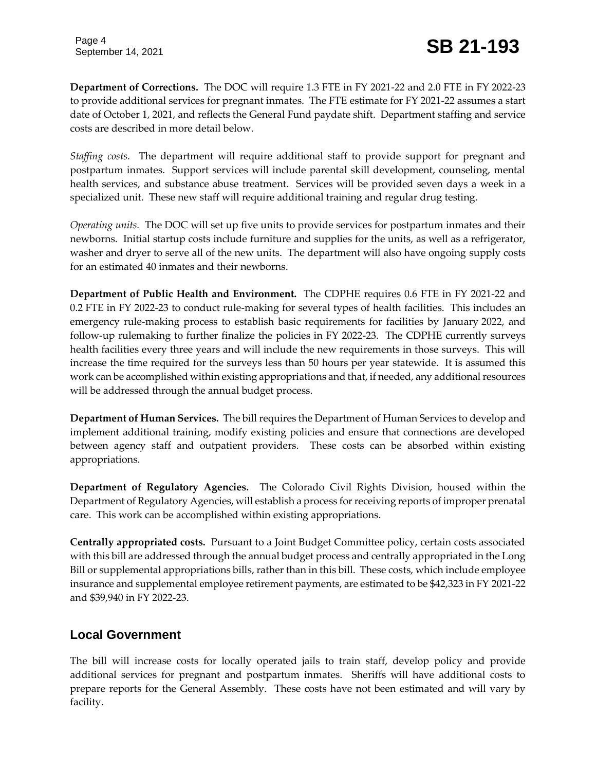**Department of Corrections.** The DOC will require 1.3 FTE in FY 2021-22 and 2.0 FTE in FY 2022-23 to provide additional services for pregnant inmates. The FTE estimate for FY 2021-22 assumes a start date of October 1, 2021, and reflects the General Fund paydate shift. Department staffing and service costs are described in more detail below.

*Staffing costs*. The department will require additional staff to provide support for pregnant and postpartum inmates. Support services will include parental skill development, counseling, mental health services, and substance abuse treatment. Services will be provided seven days a week in a specialized unit. These new staff will require additional training and regular drug testing.

*Operating units.* The DOC will set up five units to provide services for postpartum inmates and their newborns. Initial startup costs include furniture and supplies for the units, as well as a refrigerator, washer and dryer to serve all of the new units. The department will also have ongoing supply costs for an estimated 40 inmates and their newborns.

**Department of Public Health and Environment.** The CDPHE requires 0.6 FTE in FY 2021-22 and 0.2 FTE in FY 2022-23 to conduct rule-making for several types of health facilities. This includes an emergency rule-making process to establish basic requirements for facilities by January 2022, and follow-up rulemaking to further finalize the policies in FY 2022-23. The CDPHE currently surveys health facilities every three years and will include the new requirements in those surveys. This will increase the time required for the surveys less than 50 hours per year statewide. It is assumed this work can be accomplished within existing appropriations and that, if needed, any additional resources will be addressed through the annual budget process.

**Department of Human Services.** The bill requires the Department of Human Services to develop and implement additional training, modify existing policies and ensure that connections are developed between agency staff and outpatient providers. These costs can be absorbed within existing appropriations.

**Department of Regulatory Agencies.** The Colorado Civil Rights Division, housed within the Department of Regulatory Agencies, will establish a process for receiving reports of improper prenatal care. This work can be accomplished within existing appropriations.

**Centrally appropriated costs.** Pursuant to a Joint Budget Committee policy, certain costs associated with this bill are addressed through the annual budget process and centrally appropriated in the Long Bill or supplemental appropriations bills, rather than in this bill. These costs, which include employee insurance and supplemental employee retirement payments, are estimated to be \$42,323 in FY 2021-22 and \$39,940 in FY 2022-23.

#### **Local Government**

The bill will increase costs for locally operated jails to train staff, develop policy and provide additional services for pregnant and postpartum inmates. Sheriffs will have additional costs to prepare reports for the General Assembly. These costs have not been estimated and will vary by facility.